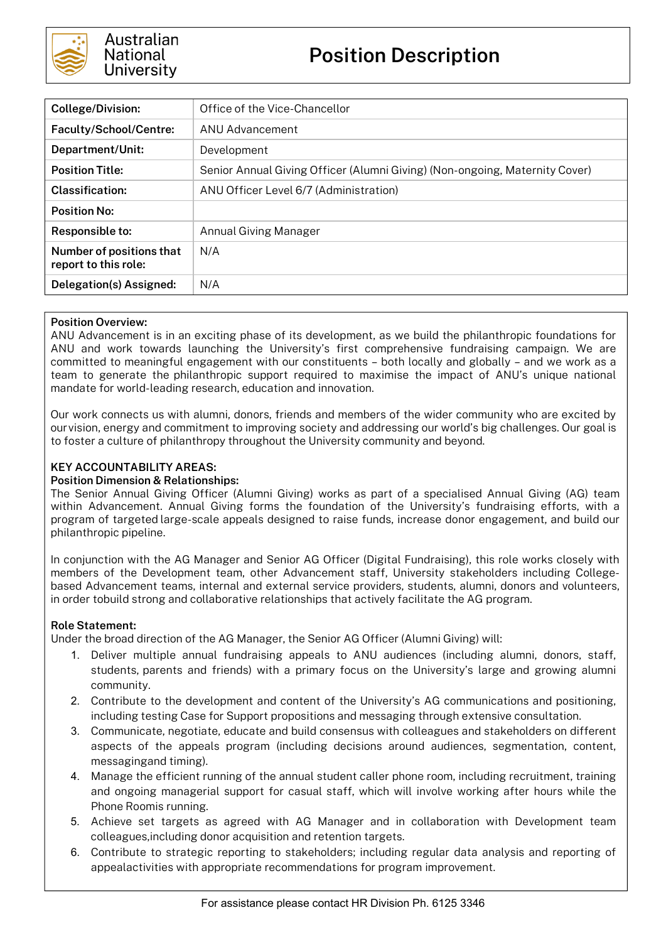

| <b>College/Division:</b>                         | Office of the Vice-Chancellor                                               |  |  |
|--------------------------------------------------|-----------------------------------------------------------------------------|--|--|
| Faculty/School/Centre:                           | ANU Advancement                                                             |  |  |
| Department/Unit:                                 | Development                                                                 |  |  |
| <b>Position Title:</b>                           | Senior Annual Giving Officer (Alumni Giving) (Non-ongoing, Maternity Cover) |  |  |
| Classification:                                  | ANU Officer Level 6/7 (Administration)                                      |  |  |
| <b>Position No:</b>                              |                                                                             |  |  |
| Responsible to:                                  | Annual Giving Manager                                                       |  |  |
| Number of positions that<br>report to this role: | N/A                                                                         |  |  |
| Delegation(s) Assigned:                          | N/A                                                                         |  |  |

## **Position Overview:**

ANU Advancement is in an exciting phase of its development, as we build the philanthropic foundations for ANU and work towards launching the University's first comprehensive fundraising campaign. We are committed to meaningful engagement with our constituents – both locally and globally – and we work as a team to generate the philanthropic support required to maximise the impact of ANU's unique national mandate for world-leading research, education and innovation.

Our work connects us with alumni, donors, friends and members of the wider community who are excited by ourvision, energy and commitment to improving society and addressing our world's big challenges. Our goal is to foster a culture of philanthropy throughout the University community and beyond.

## **KEY ACCOUNTABILITY AREAS:**

### **Position Dimension & Relationships:**

The Senior Annual Giving Officer (Alumni Giving) works as part of a specialised Annual Giving (AG) team within Advancement. Annual Giving forms the foundation of the University's fundraising efforts, with a program of targeted large-scale appeals designed to raise funds, increase donor engagement, and build our philanthropic pipeline.

In conjunction with the AG Manager and Senior AG Officer (Digital Fundraising), this role works closely with members of the Development team, other Advancement staff, University stakeholders including Collegebased Advancement teams, internal and external service providers, students, alumni, donors and volunteers, in order tobuild strong and collaborative relationships that actively facilitate the AG program.

## **Role Statement:**

Under the broad direction of the AG Manager, the Senior AG Officer (Alumni Giving) will:

- 1. Deliver multiple annual fundraising appeals to ANU audiences (including alumni, donors, staff, students, parents and friends) with a primary focus on the University's large and growing alumni community.
- 2. Contribute to the development and content of the University's AG communications and positioning, including testing Case for Support propositions and messaging through extensive consultation.
- 3. Communicate, negotiate, educate and build consensus with colleagues and stakeholders on different aspects of the appeals program (including decisions around audiences, segmentation, content, messagingand timing).
- 4. Manage the efficient running of the annual student caller phone room, including recruitment, training and ongoing managerial support for casual staff, which will involve working after hours while the Phone Roomis running.
- 5. Achieve set targets as agreed with AG Manager and in collaboration with Development team colleagues,including donor acquisition and retention targets.
- 6. Contribute to strategic reporting to stakeholders; including regular data analysis and reporting of appealactivities with appropriate recommendations for program improvement.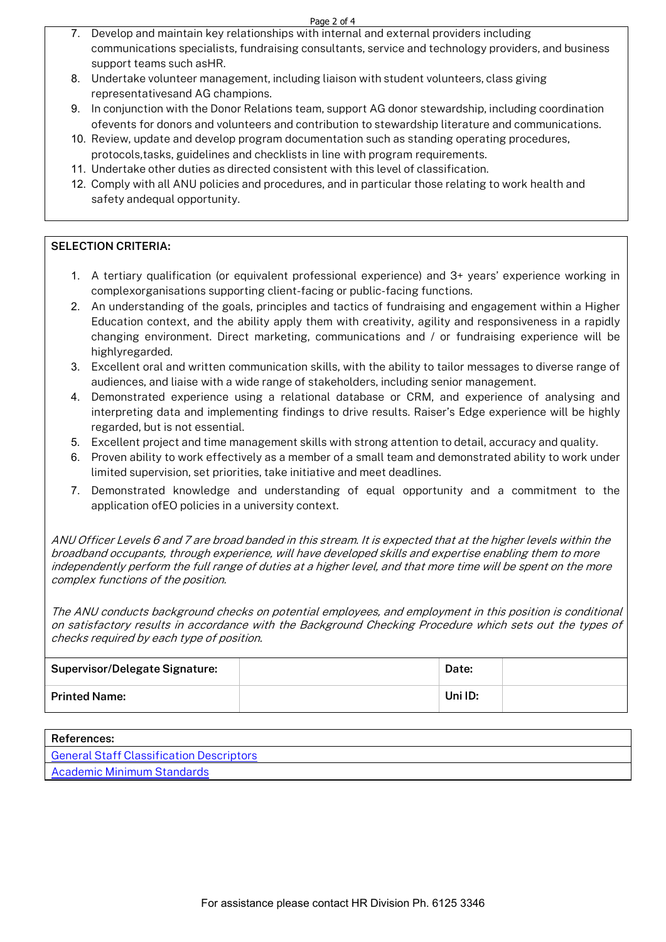#### Page 2 of 4

- 7. Develop and maintain key relationships with internal and external providers including communications specialists, fundraising consultants, service and technology providers, and business support teams such asHR.
- 8. Undertake volunteer management, including liaison with student volunteers, class giving representativesand AG champions.
- 9. In conjunction with the Donor Relations team, support AG donor stewardship, including coordination ofevents for donors and volunteers and contribution to stewardship literature and communications.
- 10. Review, update and develop program documentation such as standing operating procedures, protocols,tasks, guidelines and checklists in line with program requirements.
- 11. Undertake other duties as directed consistent with this level of classification.
- 12. Comply with all ANU policies and procedures, and in particular those relating to work health and safety andequal opportunity.

## **SELECTION CRITERIA:**

- 1. A tertiary qualification (or equivalent professional experience) and 3+ years' experience working in complexorganisations supporting client-facing or public-facing functions.
- 2. An understanding of the goals, principles and tactics of fundraising and engagement within a Higher Education context, and the ability apply them with creativity, agility and responsiveness in a rapidly changing environment. Direct marketing, communications and / or fundraising experience will be highlyregarded.
- 3. Excellent oral and written communication skills, with the ability to tailor messages to diverse range of audiences, and liaise with a wide range of stakeholders, including senior management.
- 4. Demonstrated experience using a relational database or CRM, and experience of analysing and interpreting data and implementing findings to drive results. Raiser's Edge experience will be highly regarded, but is not essential.
- 5. Excellent project and time management skills with strong attention to detail, accuracy and quality.
- 6. Proven ability to work effectively as a member of a small team and demonstrated ability to work under limited supervision, set priorities, take initiative and meet deadlines.
- 7. Demonstrated knowledge and understanding of equal opportunity and a commitment to the application ofEO policies in a university context.

ANU Officer Levels 6 and 7 are broad banded in this stream. It is expected that at the higher levels within the broadband occupants, through experience, will have developed skills and expertise enabling them to more independently perform the full range of duties at a higher level, and that more time will be spent on the more complex functions of the position.

The ANU conducts background checks on potential employees, and employment in this position is conditional on satisfactory results in accordance with the Background Checking Procedure which sets out the types of checks required by each type of position.

| Supervisor/Delegate Signature: | Date:   |  |
|--------------------------------|---------|--|
| <b>Printed Name:</b>           | Uni ID: |  |

| <b>References:</b>                       |
|------------------------------------------|
| General Staff Classification Descriptors |
| Academic Minimum Standards               |